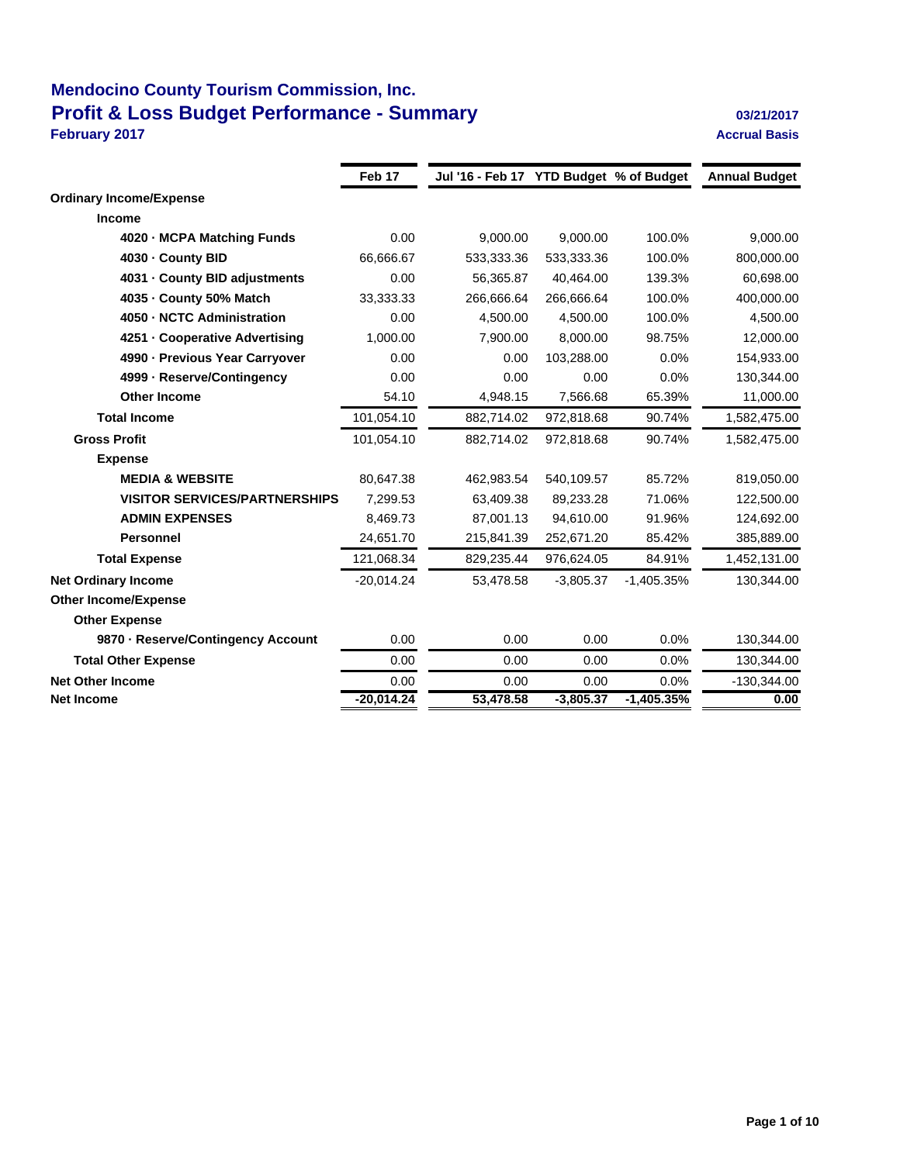## **Mendocino County Tourism Commission, Inc. Profit & Loss Budget Performance - Summary Discrete Algebra 20121/2017 February 2017 Accrual Basis**

|                                      | Feb <sub>17</sub> | Jul '16 - Feb 17 YTD Budget % of Budget |             |              | <b>Annual Budget</b> |
|--------------------------------------|-------------------|-----------------------------------------|-------------|--------------|----------------------|
| <b>Ordinary Income/Expense</b>       |                   |                                         |             |              |                      |
| <b>Income</b>                        |                   |                                         |             |              |                      |
| 4020 - MCPA Matching Funds           | 0.00              | 9.000.00                                | 9.000.00    | 100.0%       | 9,000.00             |
| 4030 - County BID                    | 66,666.67         | 533,333.36                              | 533,333.36  | 100.0%       | 800,000.00           |
| 4031 - County BID adjustments        | 0.00              | 56,365.87                               | 40,464.00   | 139.3%       | 60,698.00            |
| 4035 - County 50% Match              | 33,333.33         | 266,666.64                              | 266,666.64  | 100.0%       | 400,000.00           |
| 4050 - NCTC Administration           | 0.00              | 4.500.00                                | 4.500.00    | 100.0%       | 4,500.00             |
| 4251 - Cooperative Advertising       | 1,000.00          | 7,900.00                                | 8,000.00    | 98.75%       | 12,000.00            |
| 4990 - Previous Year Carryover       | 0.00              | 0.00                                    | 103,288.00  | 0.0%         | 154,933.00           |
| 4999 - Reserve/Contingency           | 0.00              | 0.00                                    | 0.00        | 0.0%         | 130,344.00           |
| <b>Other Income</b>                  | 54.10             | 4,948.15                                | 7,566.68    | 65.39%       | 11,000.00            |
| <b>Total Income</b>                  | 101,054.10        | 882,714.02                              | 972,818.68  | 90.74%       | 1,582,475.00         |
| <b>Gross Profit</b>                  | 101,054.10        | 882,714.02                              | 972,818.68  | 90.74%       | 1,582,475.00         |
| <b>Expense</b>                       |                   |                                         |             |              |                      |
| <b>MEDIA &amp; WEBSITE</b>           | 80,647.38         | 462,983.54                              | 540,109.57  | 85.72%       | 819,050.00           |
| <b>VISITOR SERVICES/PARTNERSHIPS</b> | 7,299.53          | 63,409.38                               | 89,233.28   | 71.06%       | 122,500.00           |
| <b>ADMIN EXPENSES</b>                | 8,469.73          | 87,001.13                               | 94,610.00   | 91.96%       | 124,692.00           |
| Personnel                            | 24,651.70         | 215,841.39                              | 252,671.20  | 85.42%       | 385,889.00           |
| <b>Total Expense</b>                 | 121,068.34        | 829,235.44                              | 976,624.05  | 84.91%       | 1,452,131.00         |
| <b>Net Ordinary Income</b>           | $-20,014.24$      | 53,478.58                               | $-3,805.37$ | $-1,405.35%$ | 130,344.00           |
| <b>Other Income/Expense</b>          |                   |                                         |             |              |                      |
| <b>Other Expense</b>                 |                   |                                         |             |              |                      |
| 9870 - Reserve/Contingency Account   | 0.00              | 0.00                                    | 0.00        | 0.0%         | 130,344.00           |
| <b>Total Other Expense</b>           | 0.00              | 0.00                                    | 0.00        | 0.0%         | 130,344.00           |
| <b>Net Other Income</b>              | 0.00              | 0.00                                    | 0.00        | 0.0%         | $-130,344.00$        |
| <b>Net Income</b>                    | -20,014.24        | 53,478.58                               | $-3,805.37$ | $-1,405.35%$ | 0.00                 |
|                                      |                   |                                         |             |              |                      |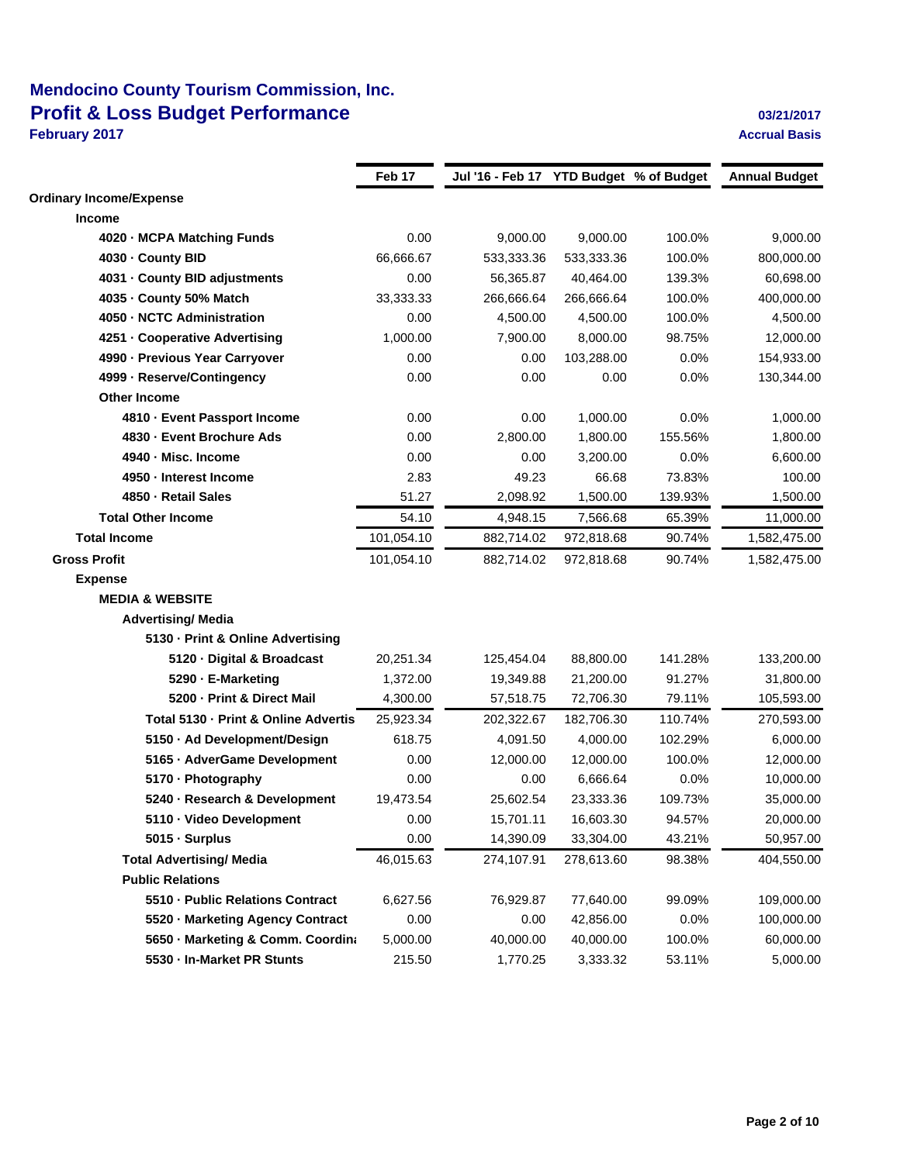## **Mendocino County Tourism Commission, Inc. Profit & Loss Budget Performance Discussed Authority Contract 2012/2017 February 2017 Accrual Basis**

|                                      | Feb 17     | Jul '16 - Feb 17 YTD Budget % of Budget |            |         | <b>Annual Budget</b> |
|--------------------------------------|------------|-----------------------------------------|------------|---------|----------------------|
| <b>Ordinary Income/Expense</b>       |            |                                         |            |         |                      |
| <b>Income</b>                        |            |                                         |            |         |                      |
| 4020 - MCPA Matching Funds           | 0.00       | 9,000.00                                | 9,000.00   | 100.0%  | 9,000.00             |
| 4030 - County BID                    | 66,666.67  | 533,333.36                              | 533,333.36 | 100.0%  | 800,000.00           |
| 4031 - County BID adjustments        | 0.00       | 56,365.87                               | 40,464.00  | 139.3%  | 60,698.00            |
| 4035 - County 50% Match              | 33,333.33  | 266,666.64                              | 266,666.64 | 100.0%  | 400,000.00           |
| 4050 - NCTC Administration           | 0.00       | 4,500.00                                | 4,500.00   | 100.0%  | 4,500.00             |
| 4251 - Cooperative Advertising       | 1,000.00   | 7,900.00                                | 8,000.00   | 98.75%  | 12,000.00            |
| 4990 - Previous Year Carryover       | 0.00       | 0.00                                    | 103,288.00 | 0.0%    | 154,933.00           |
| 4999 - Reserve/Contingency           | 0.00       | 0.00                                    | 0.00       | 0.0%    | 130,344.00           |
| <b>Other Income</b>                  |            |                                         |            |         |                      |
| 4810 - Event Passport Income         | 0.00       | 0.00                                    | 1,000.00   | 0.0%    | 1,000.00             |
| 4830 - Event Brochure Ads            | 0.00       | 2,800.00                                | 1,800.00   | 155.56% | 1,800.00             |
| 4940 - Misc. Income                  | 0.00       | 0.00                                    | 3,200.00   | 0.0%    | 6,600.00             |
| 4950 - Interest Income               | 2.83       | 49.23                                   | 66.68      | 73.83%  | 100.00               |
| 4850 - Retail Sales                  | 51.27      | 2,098.92                                | 1,500.00   | 139.93% | 1,500.00             |
| <b>Total Other Income</b>            | 54.10      | 4,948.15                                | 7,566.68   | 65.39%  | 11,000.00            |
| <b>Total Income</b>                  | 101,054.10 | 882,714.02                              | 972,818.68 | 90.74%  | 1,582,475.00         |
| <b>Gross Profit</b>                  | 101,054.10 | 882,714.02                              | 972,818.68 | 90.74%  | 1,582,475.00         |
| <b>Expense</b>                       |            |                                         |            |         |                      |
| <b>MEDIA &amp; WEBSITE</b>           |            |                                         |            |         |                      |
| <b>Advertising/ Media</b>            |            |                                         |            |         |                      |
| 5130 - Print & Online Advertising    |            |                                         |            |         |                      |
| 5120 · Digital & Broadcast           | 20,251.34  | 125,454.04                              | 88,800.00  | 141.28% | 133,200.00           |
| 5290 - E-Marketing                   | 1,372.00   | 19,349.88                               | 21,200.00  | 91.27%  | 31,800.00            |
| 5200 - Print & Direct Mail           | 4,300.00   | 57,518.75                               | 72,706.30  | 79.11%  | 105,593.00           |
| Total 5130 - Print & Online Advertis | 25,923.34  | 202,322.67                              | 182,706.30 | 110.74% | 270,593.00           |
| 5150 · Ad Development/Design         | 618.75     | 4,091.50                                | 4,000.00   | 102.29% | 6,000.00             |
| 5165 · AdverGame Development         | 0.00       | 12,000.00                               | 12,000.00  | 100.0%  | 12,000.00            |
| 5170 · Photography                   | 0.00       | 0.00                                    | 6,666.64   | 0.0%    | 10,000.00            |
| 5240 - Research & Development        | 19,473.54  | 25,602.54                               | 23,333.36  | 109.73% | 35,000.00            |
| 5110 · Video Development             | 0.00       | 15,701.11                               | 16,603.30  | 94.57%  | 20,000.00            |
| 5015 · Surplus                       | 0.00       | 14,390.09                               | 33,304.00  | 43.21%  | 50,957.00            |
| <b>Total Advertising/ Media</b>      | 46,015.63  | 274,107.91                              | 278,613.60 | 98.38%  | 404,550.00           |
| <b>Public Relations</b>              |            |                                         |            |         |                      |
| 5510 - Public Relations Contract     | 6,627.56   | 76,929.87                               | 77,640.00  | 99.09%  | 109,000.00           |
| 5520 - Marketing Agency Contract     | 0.00       | 0.00                                    | 42,856.00  | 0.0%    | 100,000.00           |
| 5650 · Marketing & Comm. Coordina    | 5,000.00   | 40,000.00                               | 40,000.00  | 100.0%  | 60,000.00            |
| 5530 - In-Market PR Stunts           | 215.50     | 1,770.25                                | 3,333.32   | 53.11%  | 5,000.00             |
|                                      |            |                                         |            |         |                      |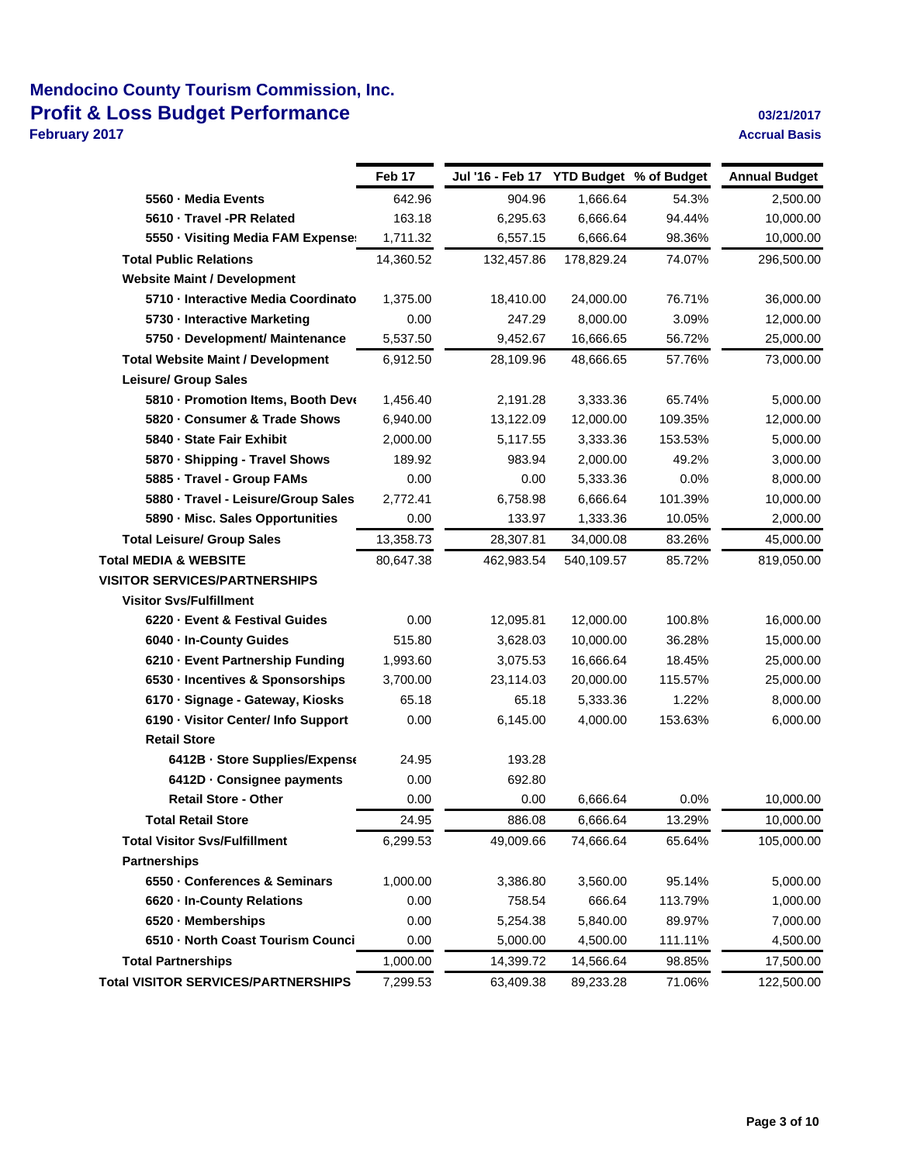## **Mendocino County Tourism Commission, Inc. Profit & Loss Budget Performance Discussed Authority Contract 2012/2017**

**February 2017 Accrual Basis**

|                                          | Feb 17    | Jul '16 - Feb 17 YTD Budget % of Budget |            |         | <b>Annual Budget</b> |
|------------------------------------------|-----------|-----------------------------------------|------------|---------|----------------------|
| 5560 - Media Events                      | 642.96    | 904.96                                  | 1,666.64   | 54.3%   | 2,500.00             |
| 5610 · Travel -PR Related                | 163.18    | 6,295.63                                | 6,666.64   | 94.44%  | 10,000.00            |
| 5550 · Visiting Media FAM Expense:       | 1,711.32  | 6,557.15                                | 6,666.64   | 98.36%  | 10,000.00            |
| <b>Total Public Relations</b>            | 14,360.52 | 132,457.86                              | 178,829.24 | 74.07%  | 296,500.00           |
| <b>Website Maint / Development</b>       |           |                                         |            |         |                      |
| 5710 - Interactive Media Coordinato      | 1,375.00  | 18,410.00                               | 24,000.00  | 76.71%  | 36,000.00            |
| 5730 - Interactive Marketing             | 0.00      | 247.29                                  | 8,000.00   | 3.09%   | 12,000.00            |
| 5750 - Development/ Maintenance          | 5,537.50  | 9,452.67                                | 16,666.65  | 56.72%  | 25,000.00            |
| <b>Total Website Maint / Development</b> | 6,912.50  | 28,109.96                               | 48,666.65  | 57.76%  | 73,000.00            |
| <b>Leisure/ Group Sales</b>              |           |                                         |            |         |                      |
| 5810 - Promotion Items, Booth Deve       | 1,456.40  | 2,191.28                                | 3,333.36   | 65.74%  | 5,000.00             |
| 5820 · Consumer & Trade Shows            | 6,940.00  | 13,122.09                               | 12,000.00  | 109.35% | 12,000.00            |
| 5840 - State Fair Exhibit                | 2,000.00  | 5,117.55                                | 3,333.36   | 153.53% | 5,000.00             |
| 5870 · Shipping - Travel Shows           | 189.92    | 983.94                                  | 2,000.00   | 49.2%   | 3,000.00             |
| 5885 - Travel - Group FAMs               | 0.00      | 0.00                                    | 5,333.36   | 0.0%    | 8,000.00             |
| 5880 · Travel - Leisure/Group Sales      | 2,772.41  | 6,758.98                                | 6,666.64   | 101.39% | 10,000.00            |
| 5890 - Misc. Sales Opportunities         | 0.00      | 133.97                                  | 1,333.36   | 10.05%  | 2,000.00             |
| <b>Total Leisure/ Group Sales</b>        | 13,358.73 | 28,307.81                               | 34,000.08  | 83.26%  | 45,000.00            |
| <b>Total MEDIA &amp; WEBSITE</b>         | 80,647.38 | 462,983.54                              | 540,109.57 | 85.72%  | 819,050.00           |
| <b>VISITOR SERVICES/PARTNERSHIPS</b>     |           |                                         |            |         |                      |
| <b>Visitor Svs/Fulfillment</b>           |           |                                         |            |         |                      |
| 6220 - Event & Festival Guides           | 0.00      | 12,095.81                               | 12,000.00  | 100.8%  | 16,000.00            |
| 6040 - In-County Guides                  | 515.80    | 3,628.03                                | 10,000.00  | 36.28%  | 15,000.00            |
| 6210 - Event Partnership Funding         | 1,993.60  | 3,075.53                                | 16,666.64  | 18.45%  | 25,000.00            |
| 6530 - Incentives & Sponsorships         | 3,700.00  | 23,114.03                               | 20,000.00  | 115.57% | 25,000.00            |
| 6170 · Signage - Gateway, Kiosks         | 65.18     | 65.18                                   | 5,333.36   | 1.22%   | 8,000.00             |
| 6190 - Visitor Center/ Info Support      | 0.00      | 6,145.00                                | 4,000.00   | 153.63% | 6,000.00             |
| <b>Retail Store</b>                      |           |                                         |            |         |                      |
| 6412B - Store Supplies/Expense           | 24.95     | 193.28                                  |            |         |                      |
| 6412D - Consignee payments               | 0.00      | 692.80                                  |            |         |                      |
| <b>Retail Store - Other</b>              | 0.00      | 0.00                                    | 6,666.64   | 0.0%    | 10,000.00            |
| Total Retail Store                       | 24.95     | 886.08                                  | 6,666.64   | 13.29%  | 10,000.00            |
| <b>Total Visitor Svs/Fulfillment</b>     | 6,299.53  | 49,009.66                               | 74,666.64  | 65.64%  | 105,000.00           |
| <b>Partnerships</b>                      |           |                                         |            |         |                      |
| 6550 - Conferences & Seminars            | 1,000.00  | 3,386.80                                | 3,560.00   | 95.14%  | 5,000.00             |
| 6620 - In-County Relations               | 0.00      | 758.54                                  | 666.64     | 113.79% | 1,000.00             |
| 6520 - Memberships                       | 0.00      | 5,254.38                                | 5,840.00   | 89.97%  | 7,000.00             |
| 6510 - North Coast Tourism Counci        | 0.00      | 5,000.00                                | 4,500.00   | 111.11% | 4,500.00             |
| <b>Total Partnerships</b>                | 1,000.00  | 14,399.72                               | 14,566.64  | 98.85%  | 17,500.00            |
| Total VISITOR SERVICES/PARTNERSHIPS      | 7,299.53  | 63,409.38                               | 89,233.28  | 71.06%  | 122,500.00           |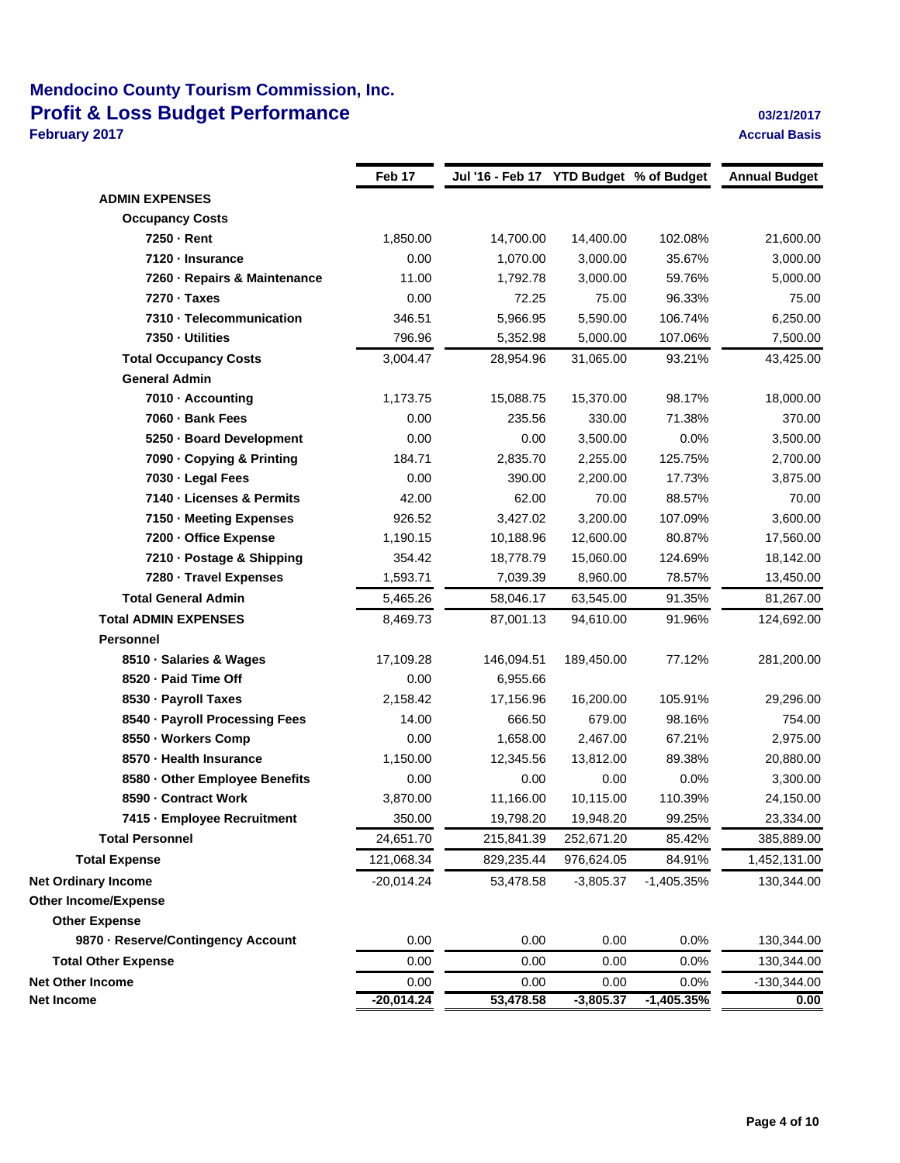## **Mendocino County Tourism Commission, Inc. Profit & Loss Budget Performance 03/21/2017 03/21/2017**

**February 2017 Accrual Basis**

|                                    | Feb 17       | Jul '16 - Feb 17 YTD Budget % of Budget |             |              | <b>Annual Budget</b> |
|------------------------------------|--------------|-----------------------------------------|-------------|--------------|----------------------|
| <b>ADMIN EXPENSES</b>              |              |                                         |             |              |                      |
| <b>Occupancy Costs</b>             |              |                                         |             |              |                      |
| 7250 - Rent                        | 1,850.00     | 14,700.00                               | 14,400.00   | 102.08%      | 21,600.00            |
| 7120 - Insurance                   | 0.00         | 1,070.00                                | 3,000.00    | 35.67%       | 3,000.00             |
| 7260 - Repairs & Maintenance       | 11.00        | 1,792.78                                | 3,000.00    | 59.76%       | 5,000.00             |
| 7270 - Taxes                       | 0.00         | 72.25                                   | 75.00       | 96.33%       | 75.00                |
| 7310 - Telecommunication           | 346.51       | 5,966.95                                | 5,590.00    | 106.74%      | 6,250.00             |
| 7350 - Utilities                   | 796.96       | 5,352.98                                | 5,000.00    | 107.06%      | 7,500.00             |
| <b>Total Occupancy Costs</b>       | 3,004.47     | 28,954.96                               | 31,065.00   | 93.21%       | 43,425.00            |
| <b>General Admin</b>               |              |                                         |             |              |                      |
| 7010 - Accounting                  | 1,173.75     | 15,088.75                               | 15,370.00   | 98.17%       | 18,000.00            |
| 7060 - Bank Fees                   | 0.00         | 235.56                                  | 330.00      | 71.38%       | 370.00               |
| 5250 - Board Development           | 0.00         | 0.00                                    | 3,500.00    | 0.0%         | 3,500.00             |
| 7090 - Copying & Printing          | 184.71       | 2,835.70                                | 2,255.00    | 125.75%      | 2,700.00             |
| 7030 - Legal Fees                  | 0.00         | 390.00                                  | 2,200.00    | 17.73%       | 3,875.00             |
| 7140 - Licenses & Permits          | 42.00        | 62.00                                   | 70.00       | 88.57%       | 70.00                |
| 7150 - Meeting Expenses            | 926.52       | 3,427.02                                | 3,200.00    | 107.09%      | 3,600.00             |
| 7200 - Office Expense              | 1,190.15     | 10,188.96                               | 12,600.00   | 80.87%       | 17,560.00            |
| 7210 - Postage & Shipping          | 354.42       | 18,778.79                               | 15,060.00   | 124.69%      | 18,142.00            |
| 7280 - Travel Expenses             | 1,593.71     | 7,039.39                                | 8,960.00    | 78.57%       | 13,450.00            |
| <b>Total General Admin</b>         | 5,465.26     | 58,046.17                               | 63,545.00   | 91.35%       | 81,267.00            |
| <b>Total ADMIN EXPENSES</b>        | 8,469.73     | 87,001.13                               | 94,610.00   | 91.96%       | 124,692.00           |
| <b>Personnel</b>                   |              |                                         |             |              |                      |
| 8510 · Salaries & Wages            | 17,109.28    | 146,094.51                              | 189,450.00  | 77.12%       | 281,200.00           |
| 8520 - Paid Time Off               | 0.00         | 6,955.66                                |             |              |                      |
| 8530 · Payroll Taxes               | 2,158.42     | 17,156.96                               | 16,200.00   | 105.91%      | 29,296.00            |
| 8540 - Payroll Processing Fees     | 14.00        | 666.50                                  | 679.00      | 98.16%       | 754.00               |
| 8550 · Workers Comp                | 0.00         | 1,658.00                                | 2,467.00    | 67.21%       | 2,975.00             |
| 8570 - Health Insurance            | 1,150.00     | 12,345.56                               | 13,812.00   | 89.38%       | 20,880.00            |
| 8580 - Other Employee Benefits     | 0.00         | 0.00                                    | 0.00        | 0.0%         | 3,300.00             |
| 8590 - Contract Work               | 3,870.00     | 11,166.00                               | 10,115.00   | 110.39%      | 24,150.00            |
| 7415 - Employee Recruitment        | 350.00       | 19,798.20                               | 19,948.20   | 99.25%       | 23,334.00            |
| <b>Total Personnel</b>             | 24,651.70    | 215,841.39                              | 252,671.20  | 85.42%       | 385,889.00           |
| <b>Total Expense</b>               | 121,068.34   | 829,235.44                              | 976,624.05  | 84.91%       | 1,452,131.00         |
| <b>Net Ordinary Income</b>         | $-20,014.24$ | 53,478.58                               | $-3,805.37$ | $-1,405.35%$ | 130,344.00           |
| <b>Other Income/Expense</b>        |              |                                         |             |              |                      |
| <b>Other Expense</b>               |              |                                         |             |              |                      |
| 9870 - Reserve/Contingency Account | 0.00         | 0.00                                    | 0.00        | 0.0%         | 130,344.00           |
| <b>Total Other Expense</b>         | 0.00         | 0.00                                    | 0.00        | 0.0%         | 130,344.00           |
| <b>Net Other Income</b>            | 0.00         | 0.00                                    | 0.00        | 0.0%         | $-130,344.00$        |
| Net Income                         | $-20,014.24$ | 53,478.58                               | $-3,805.37$ | $-1,405.35%$ | 0.00                 |
|                                    |              |                                         |             |              |                      |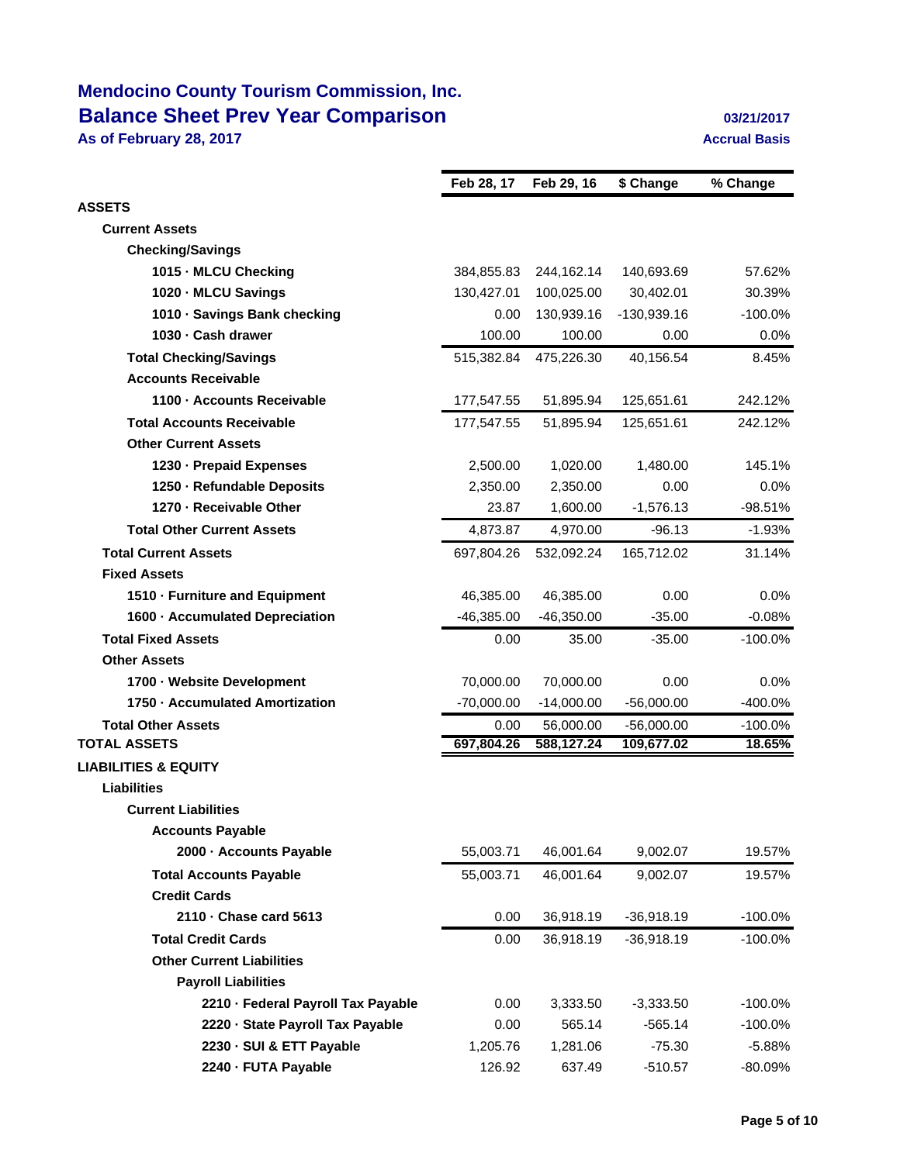# **Mendocino County Tourism Commission, Inc. Balance Sheet Prev Year Comparison 1989 1989 1989 1989 1989 1989 1989 1989 1989 1989 1989 1989 1989 1989 1989 1989 1989 1989 1989 1989 1989 1989 1989 1989 1989 1989 19**

**As of February 28, 2017 Accrual Basis**

|                                    | Feb 28, 17   | Feb 29, 16   | \$ Change     | % Change   |
|------------------------------------|--------------|--------------|---------------|------------|
| <b>ASSETS</b>                      |              |              |               |            |
| <b>Current Assets</b>              |              |              |               |            |
| <b>Checking/Savings</b>            |              |              |               |            |
| 1015 MLCU Checking                 | 384,855.83   | 244,162.14   | 140,693.69    | 57.62%     |
| 1020 MLCU Savings                  | 130,427.01   | 100,025.00   | 30,402.01     | 30.39%     |
| 1010 Savings Bank checking         | 0.00         | 130,939.16   | $-130,939.16$ | $-100.0%$  |
| 1030 - Cash drawer                 | 100.00       | 100.00       | 0.00          | 0.0%       |
| <b>Total Checking/Savings</b>      | 515,382.84   | 475,226.30   | 40,156.54     | 8.45%      |
| <b>Accounts Receivable</b>         |              |              |               |            |
| 1100 Accounts Receivable           | 177,547.55   | 51,895.94    | 125,651.61    | 242.12%    |
| <b>Total Accounts Receivable</b>   | 177,547.55   | 51,895.94    | 125,651.61    | 242.12%    |
| <b>Other Current Assets</b>        |              |              |               |            |
| 1230 Prepaid Expenses              | 2,500.00     | 1,020.00     | 1,480.00      | 145.1%     |
| 1250 Refundable Deposits           | 2.350.00     | 2,350.00     | 0.00          | 0.0%       |
| 1270 - Receivable Other            | 23.87        | 1,600.00     | $-1,576.13$   | $-98.51%$  |
| <b>Total Other Current Assets</b>  | 4,873.87     | 4,970.00     | $-96.13$      | $-1.93%$   |
| <b>Total Current Assets</b>        | 697,804.26   | 532,092.24   | 165,712.02    | 31.14%     |
| <b>Fixed Assets</b>                |              |              |               |            |
| 1510 Furniture and Equipment       | 46,385.00    | 46,385.00    | 0.00          | 0.0%       |
| 1600 Accumulated Depreciation      | $-46,385.00$ | $-46,350.00$ | $-35.00$      | $-0.08%$   |
| <b>Total Fixed Assets</b>          | 0.00         | 35.00        | $-35.00$      | $-100.0\%$ |
| <b>Other Assets</b>                |              |              |               |            |
| 1700 Website Development           | 70,000.00    | 70,000.00    | 0.00          | 0.0%       |
| 1750 Accumulated Amortization      | $-70,000.00$ | $-14,000.00$ | $-56,000.00$  | $-400.0%$  |
| <b>Total Other Assets</b>          | 0.00         | 56,000.00    | $-56,000.00$  | $-100.0\%$ |
| <b>TOTAL ASSETS</b>                | 697,804.26   | 588,127.24   | 109,677.02    | 18.65%     |
| <b>LIABILITIES &amp; EQUITY</b>    |              |              |               |            |
| <b>Liabilities</b>                 |              |              |               |            |
| <b>Current Liabilities</b>         |              |              |               |            |
| <b>Accounts Payable</b>            |              |              |               |            |
| 2000 - Accounts Payable            | 55,003.71    | 46,001.64    | 9,002.07      | 19.57%     |
| <b>Total Accounts Payable</b>      | 55,003.71    | 46,001.64    | 9,002.07      | 19.57%     |
| <b>Credit Cards</b>                |              |              |               |            |
| 2110 - Chase card 5613             | 0.00         | 36,918.19    | $-36,918.19$  | $-100.0\%$ |
| <b>Total Credit Cards</b>          | 0.00         | 36,918.19    | $-36,918.19$  | $-100.0\%$ |
| <b>Other Current Liabilities</b>   |              |              |               |            |
| <b>Payroll Liabilities</b>         |              |              |               |            |
| 2210 - Federal Payroll Tax Payable | 0.00         | 3,333.50     | $-3,333.50$   | $-100.0%$  |
| 2220 - State Payroll Tax Payable   | 0.00         | 565.14       | $-565.14$     | $-100.0%$  |
| 2230 - SUI & ETT Payable           | 1,205.76     | 1,281.06     | $-75.30$      | $-5.88%$   |
| 2240 - FUTA Payable                | 126.92       | 637.49       | $-510.57$     | -80.09%    |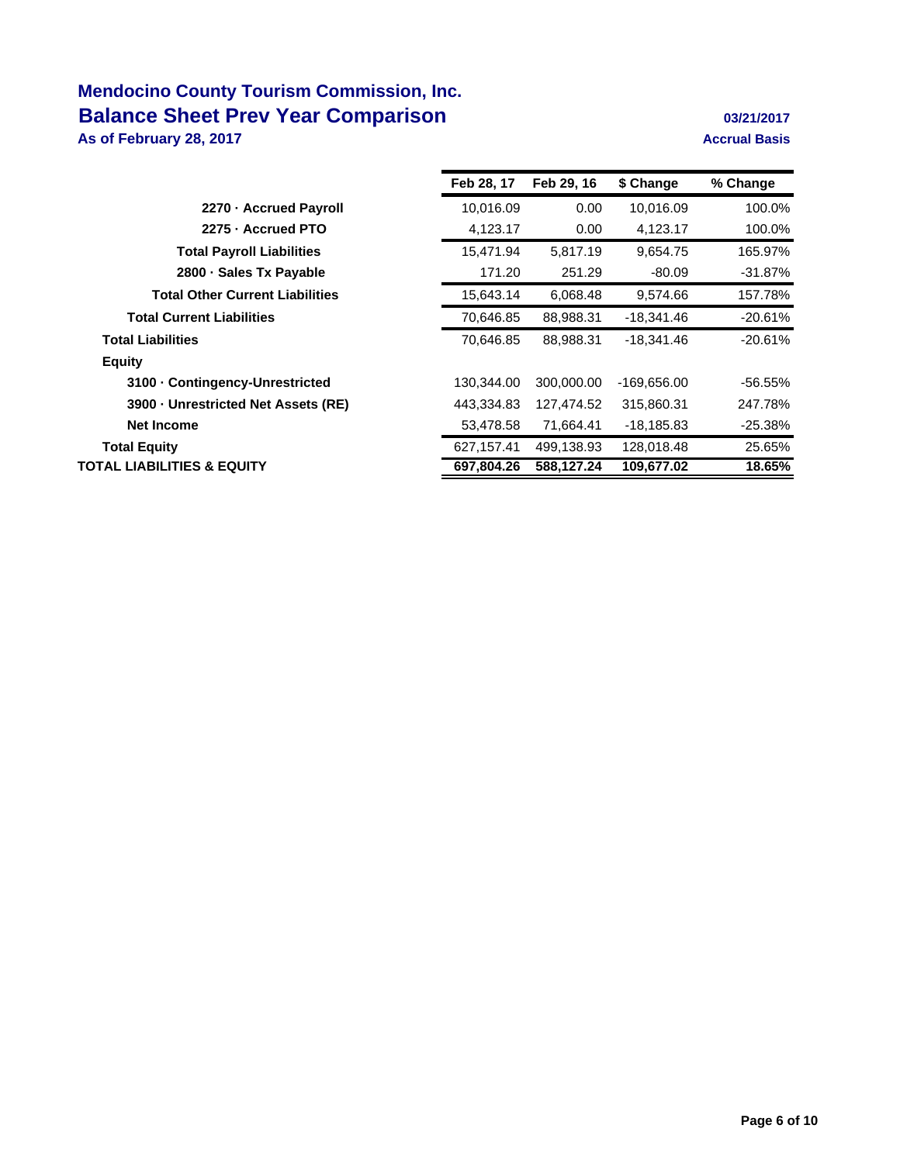# **Mendocino County Tourism Commission, Inc. Balance Sheet Prev Year Comparison 1989 1989 1989 1989 1989 1989 1989 1989 1989 1989 1989 1989 1989 1989 1989 1989 1989 1989 1989 1989 1989 1989 1989 1989 1989 1989 19**

**As of February 28, 2017 Accrual Basis**

|                                        | Feb 28, 17 | Feb 29, 16 | \$ Change    | % Change   |
|----------------------------------------|------------|------------|--------------|------------|
| 2270 - Accrued Payroll                 | 10,016.09  | 0.00       | 10,016.09    | 100.0%     |
| 2275 - Accrued PTO                     | 4,123.17   | 0.00       | 4,123.17     | 100.0%     |
| <b>Total Payroll Liabilities</b>       | 15,471.94  | 5,817.19   | 9,654.75     | 165.97%    |
| 2800 · Sales Tx Payable                | 171.20     | 251.29     | $-80.09$     | -31.87%    |
| <b>Total Other Current Liabilities</b> | 15,643.14  | 6,068.48   | 9,574.66     | 157.78%    |
| <b>Total Current Liabilities</b>       | 70,646.85  | 88,988.31  | -18,341.46   | $-20.61%$  |
| <b>Total Liabilities</b>               | 70,646.85  | 88,988.31  | -18,341.46   | $-20.61%$  |
| <b>Equity</b>                          |            |            |              |            |
| 3100 Contingency-Unrestricted          | 130,344.00 | 300,000,00 | -169,656.00  | $-56.55\%$ |
| 3900 Unrestricted Net Assets (RE)      | 443,334.83 | 127,474.52 | 315,860.31   | 247.78%    |
| <b>Net Income</b>                      | 53,478.58  | 71,664.41  | $-18,185.83$ | $-25.38%$  |
| <b>Total Equity</b>                    | 627,157.41 | 499,138.93 | 128,018.48   | 25.65%     |
| TOTAL LIABILITIES & EQUITY             | 697,804.26 | 588,127.24 | 109,677.02   | 18.65%     |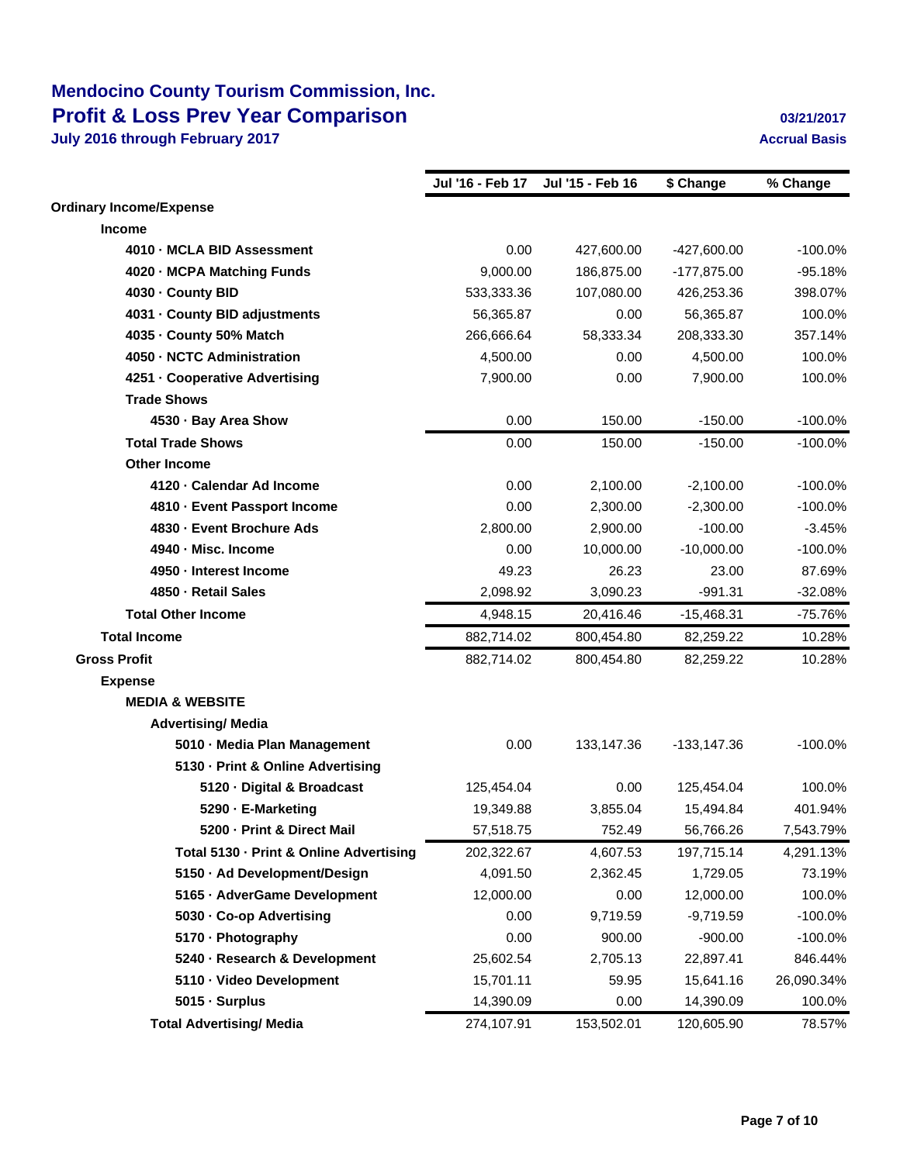# **Mendocino County Tourism Commission, Inc. Profit & Loss Prev Year Comparison 1989 12:00 12:00 12:00 12:00 12:00 12:00 12:00 12:00 12:00 12:00 12:00 12:00 12:00 12:00 12:00 12:00 12:00 12:00 12:00 12:00 12:00 12:00 12:00 12:00 12:00 12:00 12:00 12:00 12:00 12:00**

|                                         | Jul '16 - Feb 17 | Jul '15 - Feb 16 | \$ Change      | % Change   |
|-----------------------------------------|------------------|------------------|----------------|------------|
| <b>Ordinary Income/Expense</b>          |                  |                  |                |            |
| <b>Income</b>                           |                  |                  |                |            |
| 4010 - MCLA BID Assessment              | 0.00             | 427,600.00       | $-427,600.00$  | $-100.0%$  |
| 4020 - MCPA Matching Funds              | 9,000.00         | 186,875.00       | $-177,875.00$  | $-95.18%$  |
| 4030 County BID                         | 533,333.36       | 107,080.00       | 426,253.36     | 398.07%    |
| 4031 County BID adjustments             | 56,365.87        | 0.00             | 56,365.87      | 100.0%     |
| 4035 County 50% Match                   | 266,666.64       | 58,333.34        | 208,333.30     | 357.14%    |
| 4050 NCTC Administration                | 4,500.00         | 0.00             | 4,500.00       | 100.0%     |
| 4251 - Cooperative Advertising          | 7,900.00         | 0.00             | 7,900.00       | 100.0%     |
| <b>Trade Shows</b>                      |                  |                  |                |            |
| 4530 · Bay Area Show                    | 0.00             | 150.00           | $-150.00$      | $-100.0%$  |
| <b>Total Trade Shows</b>                | 0.00             | 150.00           | $-150.00$      | $-100.0%$  |
| <b>Other Income</b>                     |                  |                  |                |            |
| 4120 - Calendar Ad Income               | 0.00             | 2,100.00         | $-2,100.00$    | $-100.0%$  |
| 4810 - Event Passport Income            | 0.00             | 2,300.00         | $-2,300.00$    | $-100.0%$  |
| 4830 - Event Brochure Ads               | 2,800.00         | 2,900.00         | $-100.00$      | $-3.45%$   |
| 4940 - Misc. Income                     | 0.00             | 10,000.00        | $-10,000.00$   | $-100.0%$  |
| 4950 - Interest Income                  | 49.23            | 26.23            | 23.00          | 87.69%     |
| 4850 - Retail Sales                     | 2,098.92         | 3,090.23         | $-991.31$      | $-32.08%$  |
| <b>Total Other Income</b>               | 4,948.15         | 20,416.46        | $-15,468.31$   | $-75.76%$  |
| <b>Total Income</b>                     | 882,714.02       | 800,454.80       | 82,259.22      | 10.28%     |
| <b>Gross Profit</b>                     | 882,714.02       | 800,454.80       | 82,259.22      | 10.28%     |
| <b>Expense</b>                          |                  |                  |                |            |
| <b>MEDIA &amp; WEBSITE</b>              |                  |                  |                |            |
| <b>Advertising/ Media</b>               |                  |                  |                |            |
| 5010 - Media Plan Management            | 0.00             | 133,147.36       | $-133, 147.36$ | $-100.0%$  |
| 5130 - Print & Online Advertising       |                  |                  |                |            |
| 5120 - Digital & Broadcast              | 125,454.04       | 0.00             | 125,454.04     | 100.0%     |
| 5290 - E-Marketing                      | 19,349.88        | 3,855.04         | 15,494.84      | 401.94%    |
| 5200 - Print & Direct Mail              | 57,518.75        | 752.49           | 56,766.26      | 7,543.79%  |
| Total 5130 - Print & Online Advertising | 202,322.67       | 4,607.53         | 197,715.14     | 4,291.13%  |
| 5150 - Ad Development/Design            | 4,091.50         | 2,362.45         | 1,729.05       | 73.19%     |
| 5165 - AdverGame Development            | 12,000.00        | 0.00             | 12,000.00      | 100.0%     |
| 5030 - Co-op Advertising                | 0.00             | 9,719.59         | $-9,719.59$    | $-100.0%$  |
| 5170 - Photography                      | 0.00             | 900.00           | $-900.00$      | $-100.0%$  |
| 5240 - Research & Development           | 25,602.54        | 2,705.13         | 22,897.41      | 846.44%    |
| 5110 - Video Development                | 15,701.11        | 59.95            | 15,641.16      | 26,090.34% |
| 5015 - Surplus                          | 14,390.09        | 0.00             | 14,390.09      | 100.0%     |
| <b>Total Advertising/ Media</b>         | 274,107.91       | 153,502.01       | 120,605.90     | 78.57%     |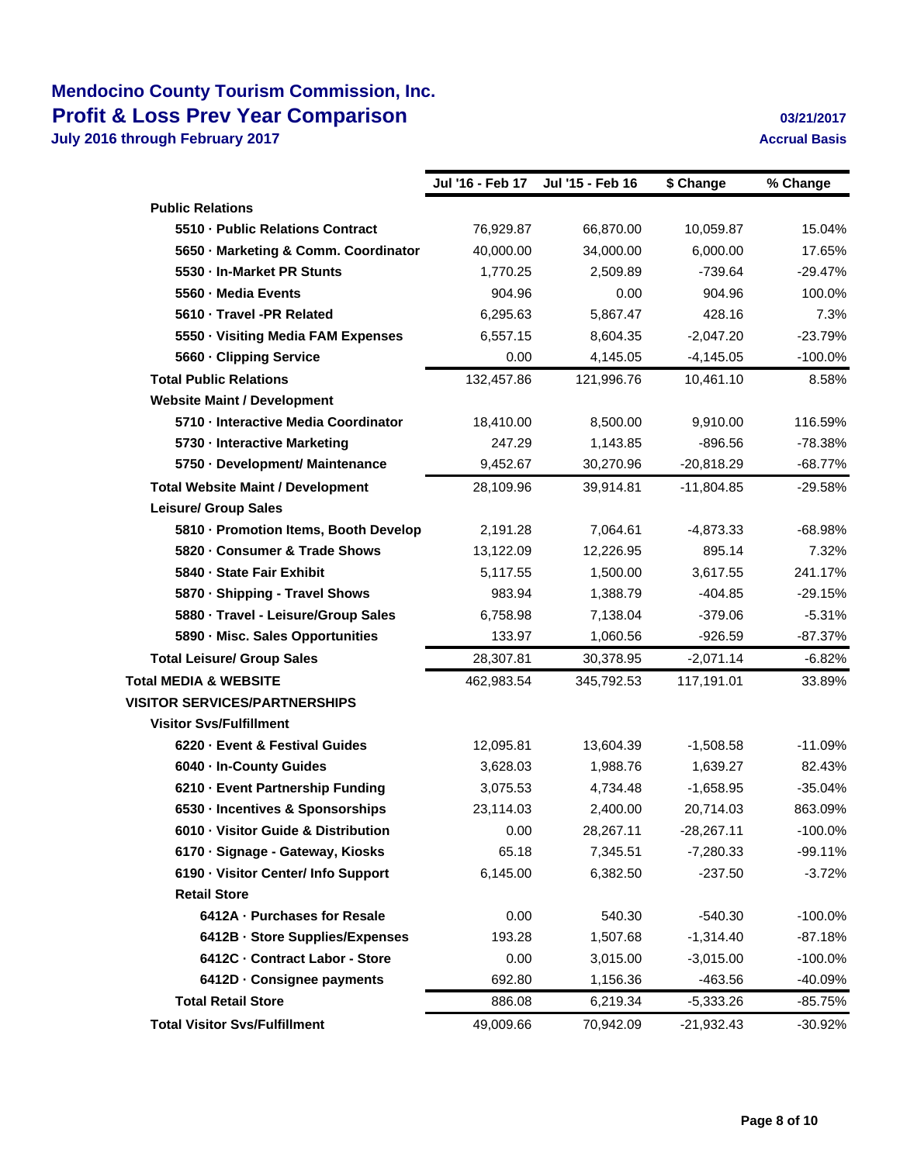## **Mendocino County Tourism Commission, Inc. Profit & Loss Prev Year Comparison 1997 12017 12017 12017**

|                                          | Jul '16 - Feb 17 | Jul '15 - Feb 16 | \$ Change    | % Change   |
|------------------------------------------|------------------|------------------|--------------|------------|
| <b>Public Relations</b>                  |                  |                  |              |            |
| 5510 - Public Relations Contract         | 76,929.87        | 66,870.00        | 10,059.87    | 15.04%     |
| 5650 - Marketing & Comm. Coordinator     | 40,000.00        | 34,000.00        | 6,000.00     | 17.65%     |
| 5530 - In-Market PR Stunts               | 1,770.25         | 2,509.89         | $-739.64$    | $-29.47%$  |
| 5560 - Media Events                      | 904.96           | 0.00             | 904.96       | 100.0%     |
| 5610 - Travel -PR Related                | 6,295.63         | 5,867.47         | 428.16       | 7.3%       |
| 5550 - Visiting Media FAM Expenses       | 6,557.15         | 8,604.35         | $-2.047.20$  | $-23.79%$  |
| 5660 - Clipping Service                  | 0.00             | 4,145.05         | $-4,145.05$  | $-100.0\%$ |
| <b>Total Public Relations</b>            | 132,457.86       | 121,996.76       | 10,461.10    | 8.58%      |
| <b>Website Maint / Development</b>       |                  |                  |              |            |
| 5710 - Interactive Media Coordinator     | 18,410.00        | 8,500.00         | 9,910.00     | 116.59%    |
| 5730 - Interactive Marketing             | 247.29           | 1,143.85         | $-896.56$    | $-78.38%$  |
| 5750 - Development/ Maintenance          | 9,452.67         | 30,270.96        | $-20,818.29$ | $-68.77%$  |
| <b>Total Website Maint / Development</b> | 28,109.96        | 39,914.81        | $-11,804.85$ | $-29.58%$  |
| <b>Leisure/ Group Sales</b>              |                  |                  |              |            |
| 5810 - Promotion Items, Booth Develop    | 2,191.28         | 7,064.61         | $-4,873.33$  | $-68.98%$  |
| 5820 - Consumer & Trade Shows            | 13,122.09        | 12,226.95        | 895.14       | 7.32%      |
| 5840 - State Fair Exhibit                | 5,117.55         | 1,500.00         | 3,617.55     | 241.17%    |
| 5870 - Shipping - Travel Shows           | 983.94           | 1,388.79         | $-404.85$    | $-29.15%$  |
| 5880 - Travel - Leisure/Group Sales      | 6,758.98         | 7,138.04         | $-379.06$    | $-5.31%$   |
| 5890 - Misc. Sales Opportunities         | 133.97           | 1,060.56         | $-926.59$    | $-87.37%$  |
| <b>Total Leisure/ Group Sales</b>        | 28,307.81        | 30,378.95        | $-2,071.14$  | $-6.82%$   |
| <b>Total MEDIA &amp; WEBSITE</b>         | 462,983.54       | 345,792.53       | 117,191.01   | 33.89%     |
| <b>VISITOR SERVICES/PARTNERSHIPS</b>     |                  |                  |              |            |
| <b>Visitor Svs/Fulfillment</b>           |                  |                  |              |            |
| 6220 - Event & Festival Guides           | 12,095.81        | 13,604.39        | $-1,508.58$  | $-11.09%$  |
| 6040 - In-County Guides                  | 3,628.03         | 1,988.76         | 1,639.27     | 82.43%     |
| 6210 - Event Partnership Funding         | 3,075.53         | 4,734.48         | $-1,658.95$  | $-35.04%$  |
| 6530 - Incentives & Sponsorships         | 23,114.03        | 2,400.00         | 20,714.03    | 863.09%    |
| 6010 - Visitor Guide & Distribution      | 0.00             | 28,267.11        | $-28,267.11$ | $-100.0\%$ |
| 6170 · Signage - Gateway, Kiosks         | 65.18            | 7,345.51         | $-7,280.33$  | $-99.11%$  |
| 6190 - Visitor Center/ Info Support      | 6,145.00         | 6,382.50         | $-237.50$    | $-3.72%$   |
| <b>Retail Store</b>                      |                  |                  |              |            |
| 6412A - Purchases for Resale             | 0.00             | 540.30           | $-540.30$    | $-100.0%$  |
| 6412B - Store Supplies/Expenses          | 193.28           | 1,507.68         | $-1,314.40$  | $-87.18%$  |
| 6412C - Contract Labor - Store           | 0.00             | 3,015.00         | $-3,015.00$  | $-100.0\%$ |
| 6412D - Consignee payments               | 692.80           | 1,156.36         | $-463.56$    | -40.09%    |
| <b>Total Retail Store</b>                | 886.08           | 6,219.34         | $-5,333.26$  | $-85.75%$  |
| <b>Total Visitor Svs/Fulfillment</b>     | 49,009.66        | 70,942.09        | $-21,932.43$ | $-30.92%$  |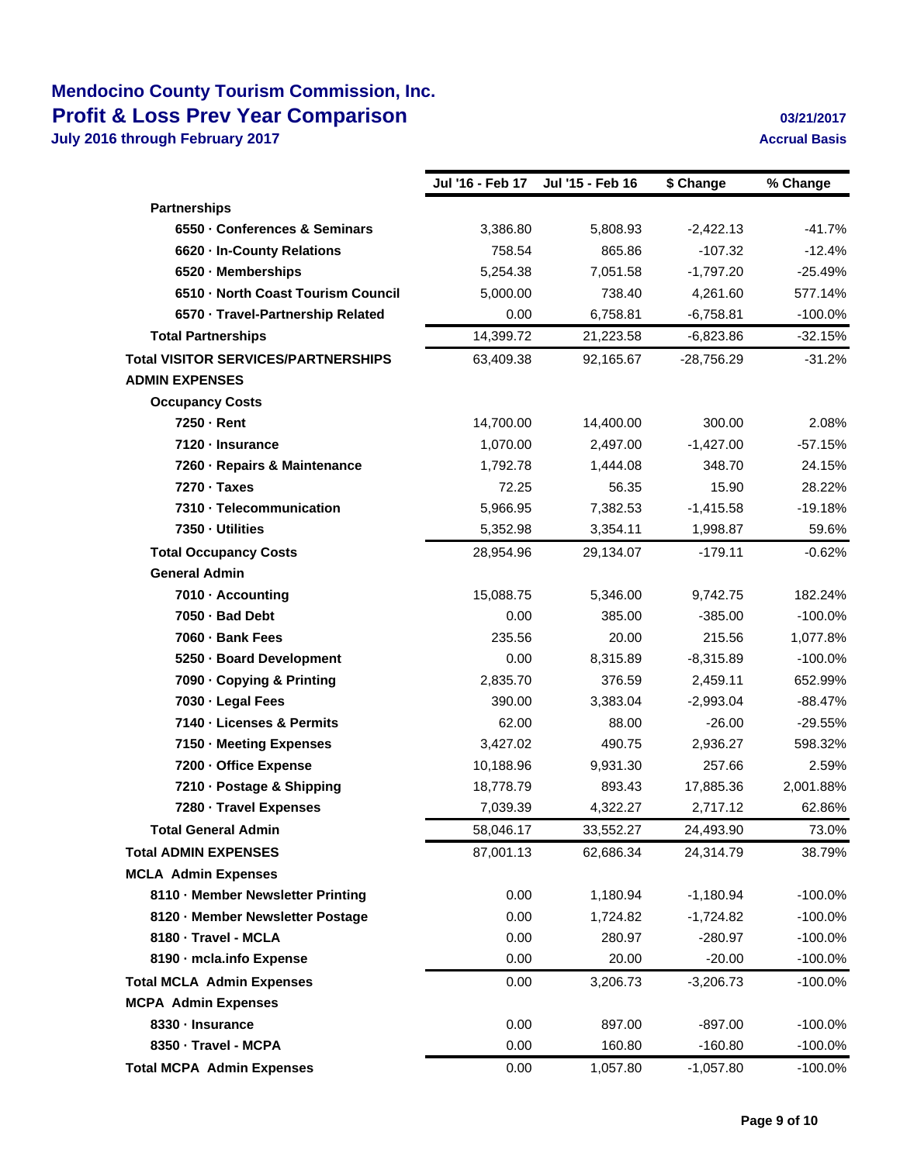## **Mendocino County Tourism Commission, Inc. Profit & Loss Prev Year Comparison 1997 12017 12017 12017**

|                                            | Jul '16 - Feb 17 | Jul '15 - Feb 16 | \$ Change    | % Change   |
|--------------------------------------------|------------------|------------------|--------------|------------|
| <b>Partnerships</b>                        |                  |                  |              |            |
| 6550 - Conferences & Seminars              | 3,386.80         | 5,808.93         | $-2,422.13$  | $-41.7%$   |
| 6620 - In-County Relations                 | 758.54           | 865.86           | $-107.32$    | $-12.4%$   |
| 6520 - Memberships                         | 5,254.38         | 7,051.58         | $-1,797.20$  | $-25.49%$  |
| 6510 - North Coast Tourism Council         | 5,000.00         | 738.40           | 4,261.60     | 577.14%    |
| 6570 - Travel-Partnership Related          | 0.00             | 6.758.81         | $-6,758.81$  | $-100.0%$  |
| <b>Total Partnerships</b>                  | 14,399.72        | 21,223.58        | $-6,823.86$  | $-32.15%$  |
| <b>Total VISITOR SERVICES/PARTNERSHIPS</b> | 63,409.38        | 92,165.67        | $-28,756.29$ | $-31.2%$   |
| <b>ADMIN EXPENSES</b>                      |                  |                  |              |            |
| <b>Occupancy Costs</b>                     |                  |                  |              |            |
| 7250 - Rent                                | 14,700.00        | 14,400.00        | 300.00       | 2.08%      |
| 7120 - Insurance                           | 1,070.00         | 2,497.00         | $-1,427.00$  | $-57.15%$  |
| 7260 - Repairs & Maintenance               | 1,792.78         | 1,444.08         | 348.70       | 24.15%     |
| 7270 · Taxes                               | 72.25            | 56.35            | 15.90        | 28.22%     |
| 7310 - Telecommunication                   | 5,966.95         | 7,382.53         | $-1,415.58$  | $-19.18%$  |
| 7350 Utilities                             | 5,352.98         | 3,354.11         | 1,998.87     | 59.6%      |
| <b>Total Occupancy Costs</b>               | 28,954.96        | 29,134.07        | $-179.11$    | $-0.62%$   |
| <b>General Admin</b>                       |                  |                  |              |            |
| 7010 - Accounting                          | 15,088.75        | 5,346.00         | 9,742.75     | 182.24%    |
| 7050 - Bad Debt                            | 0.00             | 385.00           | $-385.00$    | $-100.0%$  |
| 7060 - Bank Fees                           | 235.56           | 20.00            | 215.56       | 1,077.8%   |
| 5250 - Board Development                   | 0.00             | 8,315.89         | $-8,315.89$  | $-100.0%$  |
| 7090 - Copying & Printing                  | 2,835.70         | 376.59           | 2,459.11     | 652.99%    |
| 7030 - Legal Fees                          | 390.00           | 3,383.04         | $-2,993.04$  | $-88.47%$  |
| 7140 - Licenses & Permits                  | 62.00            | 88.00            | $-26.00$     | $-29.55%$  |
| 7150 - Meeting Expenses                    | 3,427.02         | 490.75           | 2,936.27     | 598.32%    |
| 7200 - Office Expense                      | 10,188.96        | 9,931.30         | 257.66       | 2.59%      |
| 7210 - Postage & Shipping                  | 18,778.79        | 893.43           | 17,885.36    | 2,001.88%  |
| 7280 - Travel Expenses                     | 7,039.39         | 4,322.27         | 2,717.12     | 62.86%     |
| <b>Total General Admin</b>                 | 58,046.17        | 33,552.27        | 24,493.90    | 73.0%      |
| <b>Total ADMIN EXPENSES</b>                | 87,001.13        | 62,686.34        | 24,314.79    | 38.79%     |
| <b>MCLA Admin Expenses</b>                 |                  |                  |              |            |
| 8110 - Member Newsletter Printing          | 0.00             | 1,180.94         | $-1,180.94$  | $-100.0\%$ |
| 8120 - Member Newsletter Postage           | 0.00             | 1,724.82         | $-1,724.82$  | $-100.0\%$ |
| 8180 - Travel - MCLA                       | 0.00             | 280.97           | $-280.97$    | $-100.0%$  |
| 8190 - mcla.info Expense                   | 0.00             | 20.00            | $-20.00$     | $-100.0\%$ |
| <b>Total MCLA Admin Expenses</b>           | 0.00             | 3,206.73         | $-3,206.73$  | $-100.0\%$ |
| <b>MCPA Admin Expenses</b>                 |                  |                  |              |            |
| 8330 - Insurance                           | 0.00             | 897.00           | $-897.00$    | $-100.0%$  |
| 8350 - Travel - MCPA                       | 0.00             | 160.80           | $-160.80$    | $-100.0%$  |
| <b>Total MCPA Admin Expenses</b>           | 0.00             | 1,057.80         | $-1,057.80$  | $-100.0%$  |